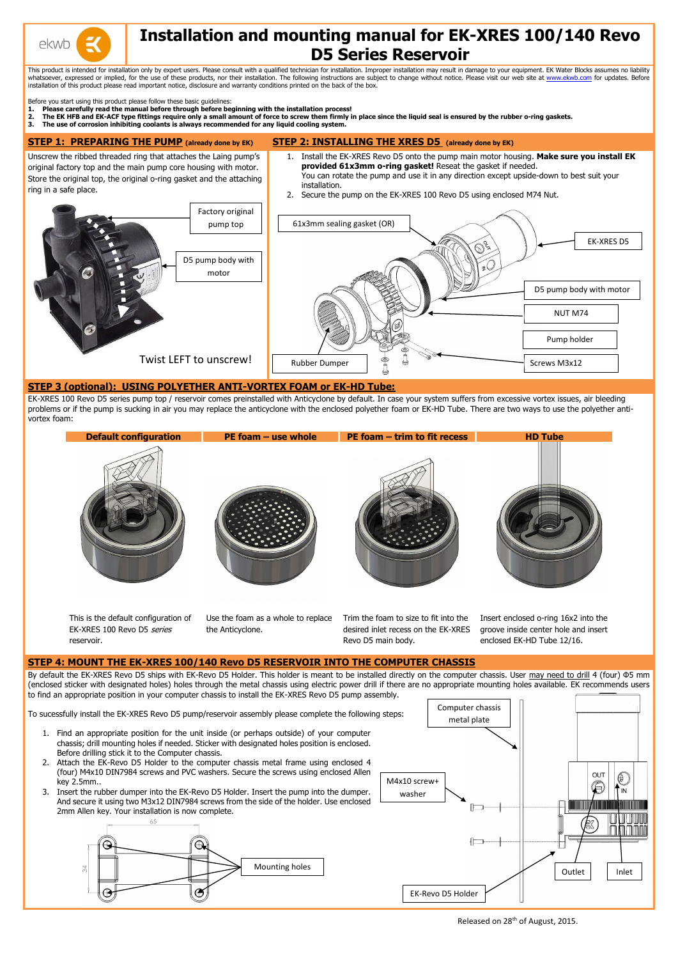

# **Installation and mounting manual for EK-XRES 100/140 Revo D5 Series Reservoir**

This product is intended for installation only by expert users. Please consult with a qualified technician for installation. Improper installation may result in damage to your equipment. EK Water Blocks assumes no liabilit whatsoever, expressed or implied, for the use of these products, nor their installation. The following instructions are subject to change without notice. Please visit our web site at [www.ekwb.com](http://www.ekwb.com/) for updates. Before installation of this product please read important notice, disclosure and warranty conditions printed on the back of the box.

Before you start using this product please follow these basic guidelines:

- **1. Please carefully read the manual before through before beginning with the installation process!**
- **2. The EK HFB and EK-ACF type fittings require only a small amount of force to screw them firmly in place since the liquid seal is ensured by the rubber o-ring gaskets.**

**3. The use of corrosion inhibiting coolants is always recommended for any liquid cooling system.**

#### **STEP 1: PREPARING THE PUMP (already done by EK) STEP 2: INSTALLING THE XRES D5 (already done by EK)**

Unscrew the ribbed threaded ring that attaches the Laing pump's original factory top and the main pump core housing with motor. Store the original top, the original o-ring gasket and the attaching ring in a safe place.

By default the EK-XRES Revo D5 ships with EK-Revo D5 Holder. This holder is meant to be installed directly on the computer chassis. User may need to drill 4 (four) Φ5 mm (enclosed sticker with designated holes) holes through the metal chassis using electric power drill if there are no appropriate mounting holes available. EK recommends users to find an appropriate position in your computer chassis to install the EK-XRES Revo D5 pump assembly.

- 1. Install the EK-XRES Revo D5 onto the pump main motor housing. **Make sure you install EK provided 61x3mm o-ring gasket!** Reseat the gasket if needed. You can rotate the pump and use it in any direction except upside-down to best suit your
- 2. Secure the pump on the EK-XRES 100 Revo D5 using enclosed M74 Nut.

installation.

### **STEP 3 (optional): USING POLYETHER ANTI-VORTEX FOAM or EK-HD Tube:**

EK-XRES 100 Revo D5 series pump top / reservoir comes preinstalled with Anticyclone by default. In case your system suffers from excessive vortex issues, air bleeding problems or if the pump is sucking in air you may replace the anticyclone with the enclosed polyether foam or EK-HD Tube. There are two ways to use the polyether antivortex foam:



Released on 28<sup>th</sup> of August, 2015.



This is the default configuration of EK-XRES 100 Revo D5 series reservoir.

Use the foam as a whole to replace the Anticyclone.

Trim the foam to size to fit into the desired inlet recess on the EK-XRES Revo D5 main body.

Insert enclosed o-ring 16x2 into the groove inside center hole and insert enclosed EK-HD Tube 12/16.

# **STEP 4: MOUNT THE EK-XRES 100/140 Revo D5 RESERVOIR INTO THE COMPUTER CHASSIS**

To sucessfully install the EK-XRES Revo D5 pump/reservoir assembly please complete the following steps:

- 1. Find an appropriate position for the unit inside (or perhaps outside) of your computer chassis; drill mounting holes if needed. Sticker with designated holes position is enclosed. Before drilling stick it to the Computer chassis.
- 2. Attach the EK-Revo D5 Holder to the computer chassis metal frame using enclosed 4 (four) M4x10 DIN7984 screws and PVC washers. Secure the screws using enclosed Allen key 2.5mm..
- 3. Insert the rubber dumper into the EK-Revo D5 Holder. Insert the pump into the dumper. And secure it using two M3x12 DIN7984 screws from the side of the holder. Use enclosed 2mm Allen key. Your installation is now complete.



Computer chassis metal plate